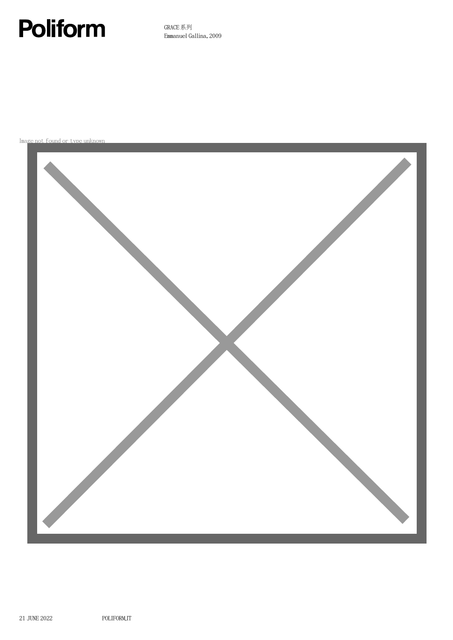# **Poliform**

GRACE系列 Emmanuel Gallina, 2009

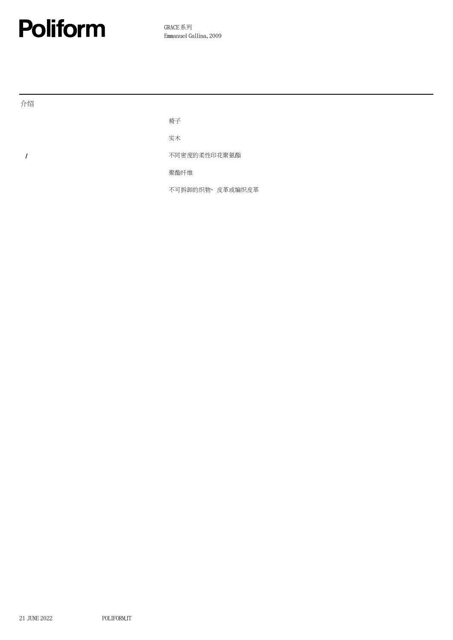

介绍

椅子

实木

**/** THE TERRESE TERRESE THE TERRESE THAN THE TERRESE THE TERRET TERRET TERRET TERRET TERRET TERRET TE

聚酯纤维

不可拆卸的织物、皮革或编织皮革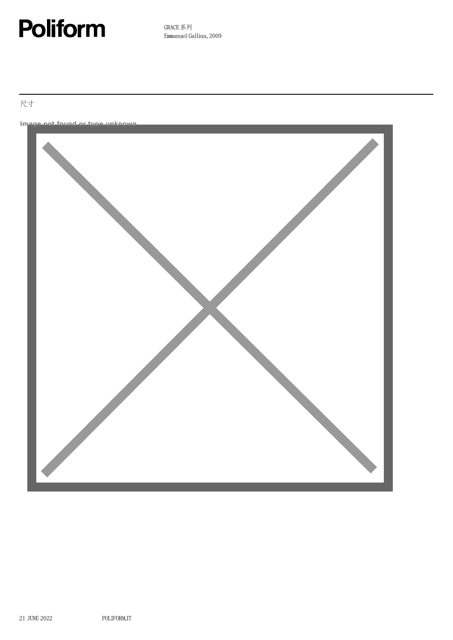

尺寸

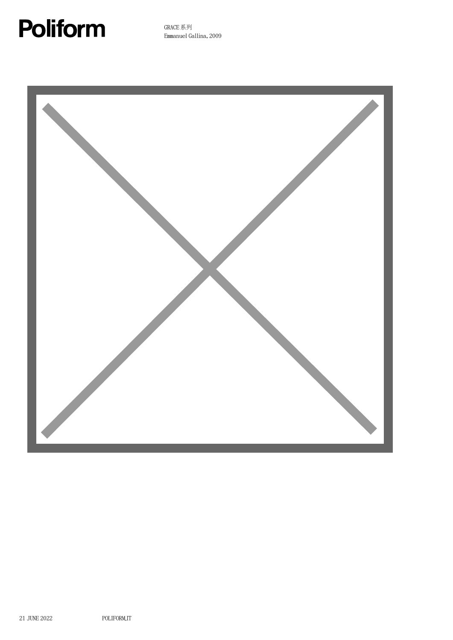

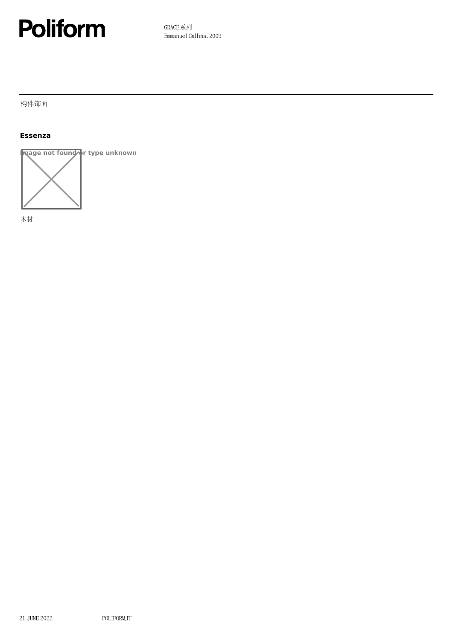

构件饰面

### **Essenza**



木材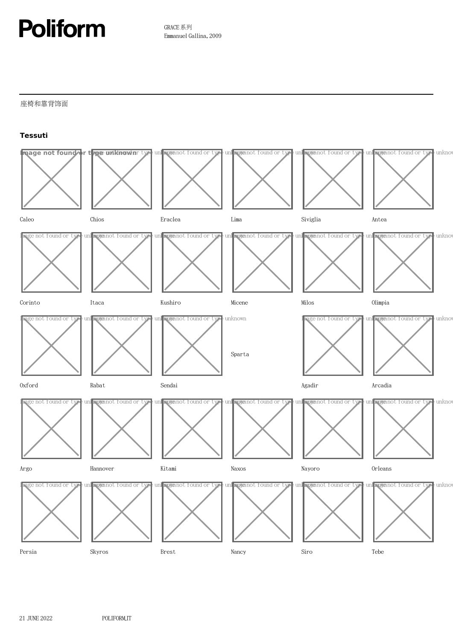## **Poliform**

GRACE系列 Emmanuel Gallina, 2009

座椅和靠背饰面

### **Tessuti**